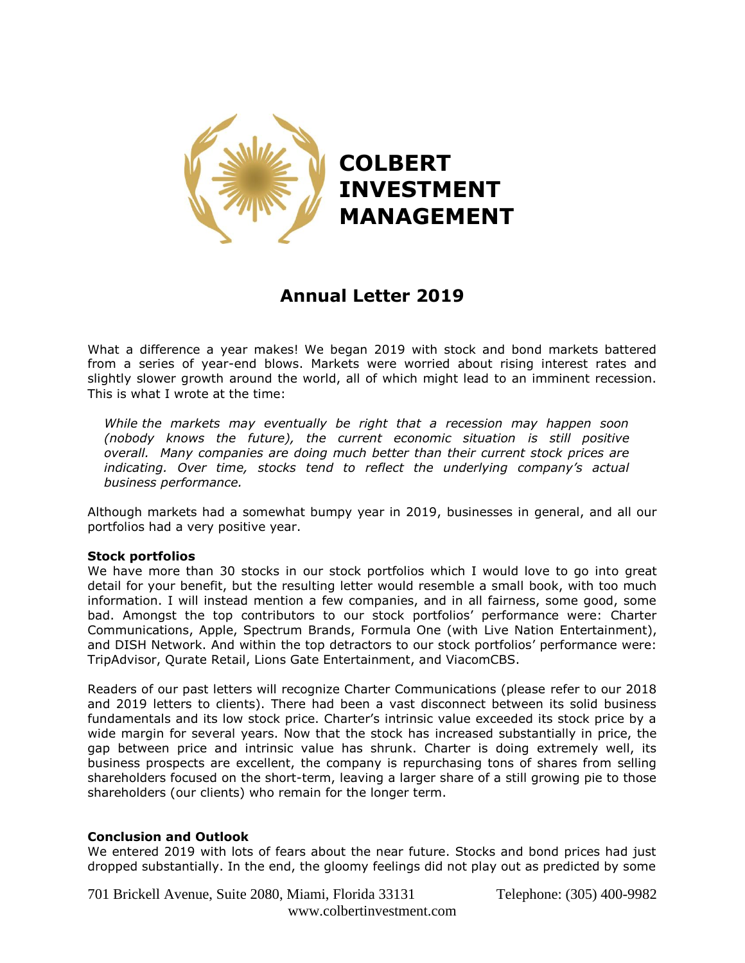

## **Annual Letter 2019**

What a difference a year makes! We began 2019 with stock and bond markets battered from a series of year-end blows. Markets were worried about rising interest rates and slightly slower growth around the world, all of which might lead to an imminent recession. This is what I wrote at the time:

*While the markets may eventually be right that a recession may happen soon (nobody knows the future), the current economic situation is still positive overall. Many companies are doing much better than their current stock prices are indicating. Over time, stocks tend to reflect the underlying company's actual business performance.*

Although markets had a somewhat bumpy year in 2019, businesses in general, and all our portfolios had a very positive year.

## **Stock portfolios**

We have more than 30 stocks in our stock portfolios which I would love to go into great detail for your benefit, but the resulting letter would resemble a small book, with too much information. I will instead mention a few companies, and in all fairness, some good, some bad. Amongst the top contributors to our stock portfolios' performance were: Charter Communications, Apple, Spectrum Brands, Formula One (with Live Nation Entertainment), and DISH Network. And within the top detractors to our stock portfolios' performance were: TripAdvisor, Qurate Retail, Lions Gate Entertainment, and ViacomCBS.

Readers of our past letters will recognize Charter Communications (please refer to our 2018 and 2019 letters to clients). There had been a vast disconnect between its solid business fundamentals and its low stock price. Charter's intrinsic value exceeded its stock price by a wide margin for several years. Now that the stock has increased substantially in price, the gap between price and intrinsic value has shrunk. Charter is doing extremely well, its business prospects are excellent, the company is repurchasing tons of shares from selling shareholders focused on the short-term, leaving a larger share of a still growing pie to those shareholders (our clients) who remain for the longer term.

## **Conclusion and Outlook**

We entered 2019 with lots of fears about the near future. Stocks and bond prices had just dropped substantially. In the end, the gloomy feelings did not play out as predicted by some

701 Brickell Avenue, Suite 2080, Miami, Florida 33131 Telephone: (305) 400-9982 www.colbertinvestment.com